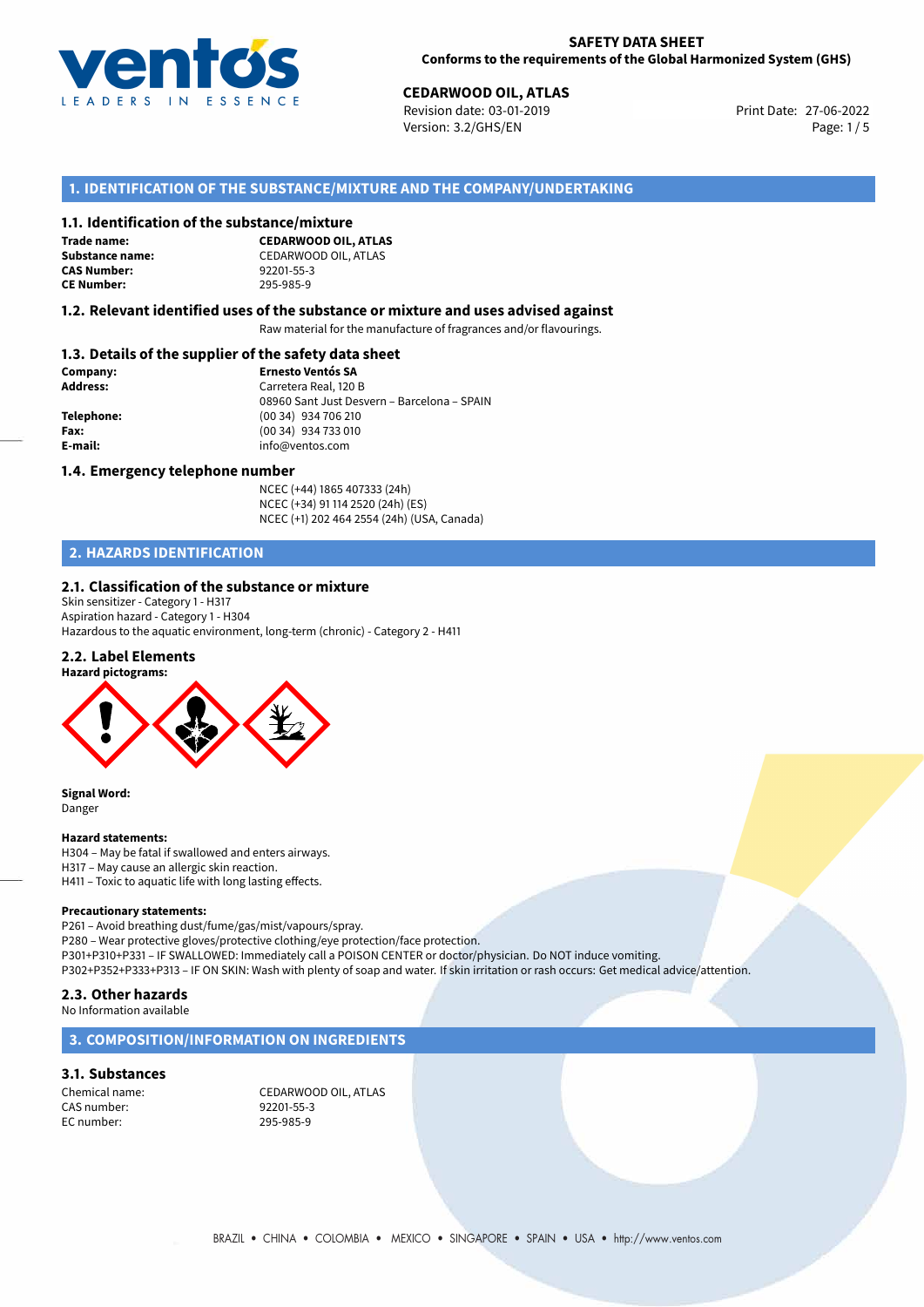

Revision date: 03-01-2019 Version: 3.2/GHS/EN Page: 1/5

## **1. IDENTIFICATION OF THE SUBSTANCE/MIXTURE AND THE COMPANY/UNDERTAKING**

#### **1.1. Identification of the substance/mixture**

**Trade name: CAS Number: CE Number:** 295-985-9

**CEDARWOOD OIL, ATLAS Substance name:** CEDARWOOD OIL, ATLAS<br> **CAS Number:** 92201-55-3

#### **1.2. Relevant identified uses of the substance or mixture and uses advised against**

Raw material for the manufacture of fragrances and/or flavourings.

## **1.3. Details of the supplier of the safety data sheet**

| Company:   | <b>Ernesto Ventós SA</b>                    |
|------------|---------------------------------------------|
| Address:   | Carretera Real, 120 B                       |
|            | 08960 Sant Just Desvern - Barcelona - SPAIN |
| Telephone: | (00 34) 934 706 210                         |
| Fax:       | (00 34) 934 733 010                         |
| E-mail:    | info@ventos.com                             |
|            |                                             |

#### **1.4. Emergency telephone number**

NCEC (+44) 1865 407333 (24h) NCEC (+34) 91 114 2520 (24h) (ES) NCEC (+1) 202 464 2554 (24h) (USA, Canada)

## **2. HAZARDS IDENTIFICATION**

#### **2.1. Classification of the substance or mixture**

Skin sensitizer - Category 1 - H317 Aspiration hazard - Category 1 - H304 Hazardous to the aquatic environment, long-term (chronic) - Category 2 - H411

#### **2.2. Label Elements**



**Signal Word:** Danger

#### **Hazard statements:**

H304 – May be fatal if swallowed and enters airways. H317 – May cause an allergic skin reaction. H411 – Toxic to aquatic life with long lasting effects.

#### **Precautionary statements:**

P261 – Avoid breathing dust/fume/gas/mist/vapours/spray. P280 – Wear protective gloves/protective clothing/eye protection/face protection. P301+P310+P331 – IF SWALLOWED: Immediately call a POISON CENTER or doctor/physician. Do NOT induce vomiting. P302+P352+P333+P313 – IF ON SKIN: Wash with plenty of soap and water. If skin irritation or rash occurs: Get medical advice/attention.

#### **2.3. Other hazards**

No Information available

#### **3. COMPOSITION/INFORMATION ON INGREDIENTS**

#### **3.1. Substances**

CAS number: 92201-55-3 EC number: 295-985-9

Chemical name: CEDARWOOD OIL, ATLAS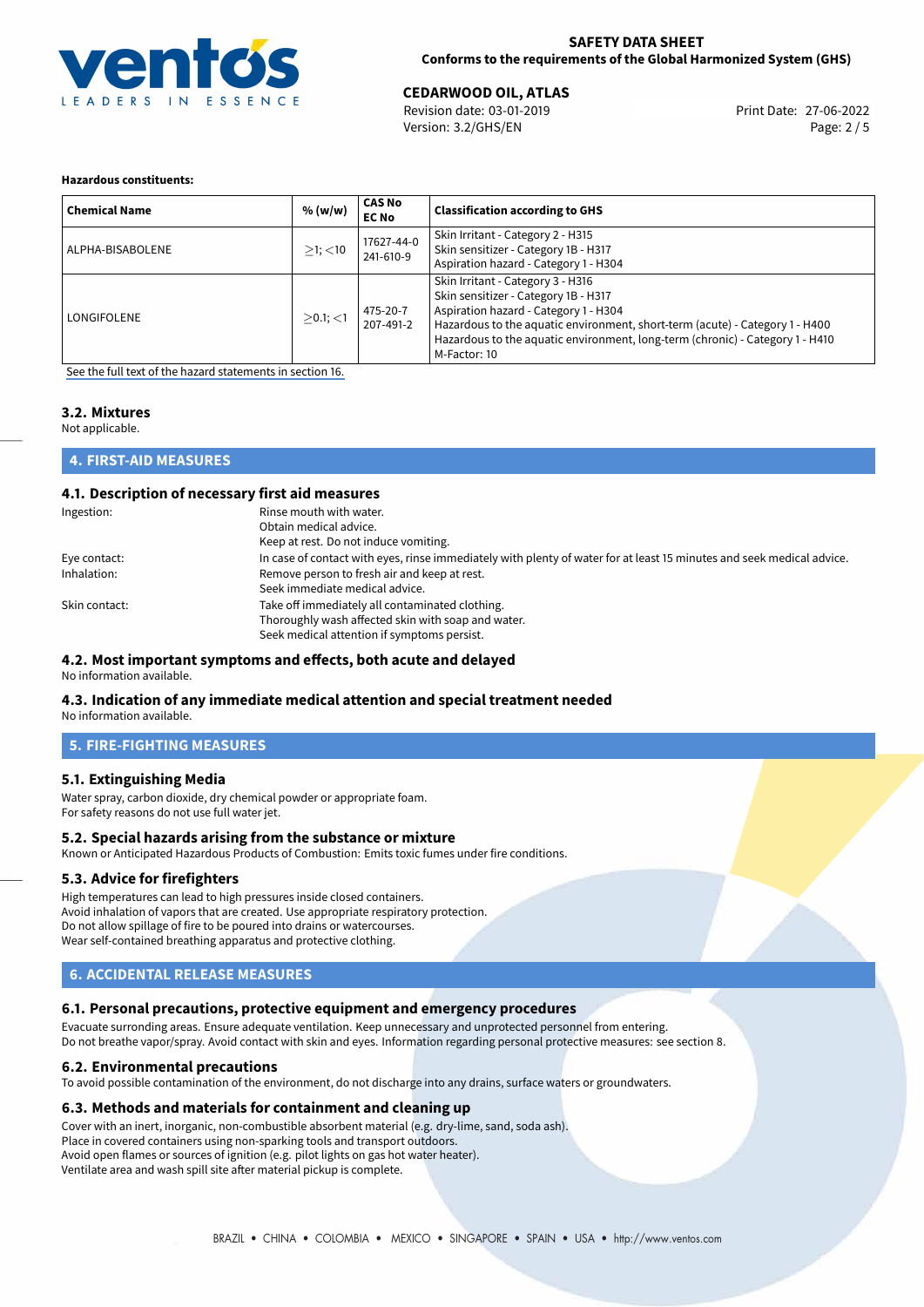

Revision date: 03-01-2019 Version: 3.2/GHS/EN Page: 2 / 5

#### **Hazardous constituents:**

| <b>Chemical Name</b> | % (w/w)       | <b>CAS No</b><br><b>EC No</b> | <b>Classification according to GHS</b>                                                                                                                                                                                                                                                              |
|----------------------|---------------|-------------------------------|-----------------------------------------------------------------------------------------------------------------------------------------------------------------------------------------------------------------------------------------------------------------------------------------------------|
| ALPHA-BISABOLENE     | $>1$ ; $<$ 10 | 17627-44-0<br>241-610-9       | Skin Irritant - Category 2 - H315<br>Skin sensitizer - Category 1B - H317<br>Aspiration hazard - Category 1 - H304                                                                                                                                                                                  |
| LONGIFOLENE          | $>0.1$ ; <1   | 475-20-7<br>207-491-2         | Skin Irritant - Category 3 - H316<br>Skin sensitizer - Category 1B - H317<br>Aspiration hazard - Category 1 - H304<br>Hazardous to the aquatic environment, short-term (acute) - Category 1 - H400<br>Hazardous to the aquatic environment, long-term (chronic) - Category 1 - H410<br>M-Factor: 10 |

[See the full text of the hazard statements in section 16.](#page-4-0)

## **3.2. Mixtures**

Not applicable.

## **4. FIRST-AID MEASURES**

#### **4.1. Description of necessary first aid measures**

| Ingestion:    | Rinse mouth with water.                                                                                               |
|---------------|-----------------------------------------------------------------------------------------------------------------------|
|               | Obtain medical advice.                                                                                                |
|               | Keep at rest. Do not induce vomiting.                                                                                 |
| Eye contact:  | In case of contact with eyes, rinse immediately with plenty of water for at least 15 minutes and seek medical advice. |
| Inhalation:   | Remove person to fresh air and keep at rest.                                                                          |
|               | Seek immediate medical advice.                                                                                        |
| Skin contact: | Take off immediately all contaminated clothing.                                                                       |
|               | Thoroughly wash affected skin with soap and water.                                                                    |
|               | Seek medical attention if symptoms persist.                                                                           |

### **4.2. Most important symptoms and effects, both acute and delayed**

No information available.

#### **4.3. Indication of any immediate medical attention and special treatment needed**

No information available.

### **5. FIRE-FIGHTING MEASURES**

#### **5.1. Extinguishing Media**

Water spray, carbon dioxide, dry chemical powder or appropriate foam. For safety reasons do not use full water jet.

#### **5.2. Special hazards arising from the substance or mixture**

Known or Anticipated Hazardous Products of Combustion: Emits toxic fumes under fire conditions.

#### **5.3. Advice for firefighters**

High temperatures can lead to high pressures inside closed containers. Avoid inhalation of vapors that are created. Use appropriate respiratory protection. Do not allow spillage of fire to be poured into drains or watercourses. Wear self-contained breathing apparatus and protective clothing.

## **6. ACCIDENTAL RELEASE MEASURES**

## **6.1. Personal precautions, protective equipment and emergency procedures**

Evacuate surronding areas. Ensure adequate ventilation. Keep unnecessary and unprotected personnel from entering. Do not breathe vapor/spray. Avoid contact with skin and eyes. Information regarding personal protective measures: see section 8.

#### **6.2. Environmental precautions**

To avoid possible contamination of the environment, do not discharge into any drains, surface waters or groundwaters.

#### **6.3. Methods and materials for containment and cleaning up**

Cover with an inert, inorganic, non-combustible absorbent material (e.g. dry-lime, sand, soda ash). Place in covered containers using non-sparking tools and transport outdoors. Avoid open flames or sources of ignition (e.g. pilot lights on gas hot water heater). Ventilate area and wash spill site after material pickup is complete.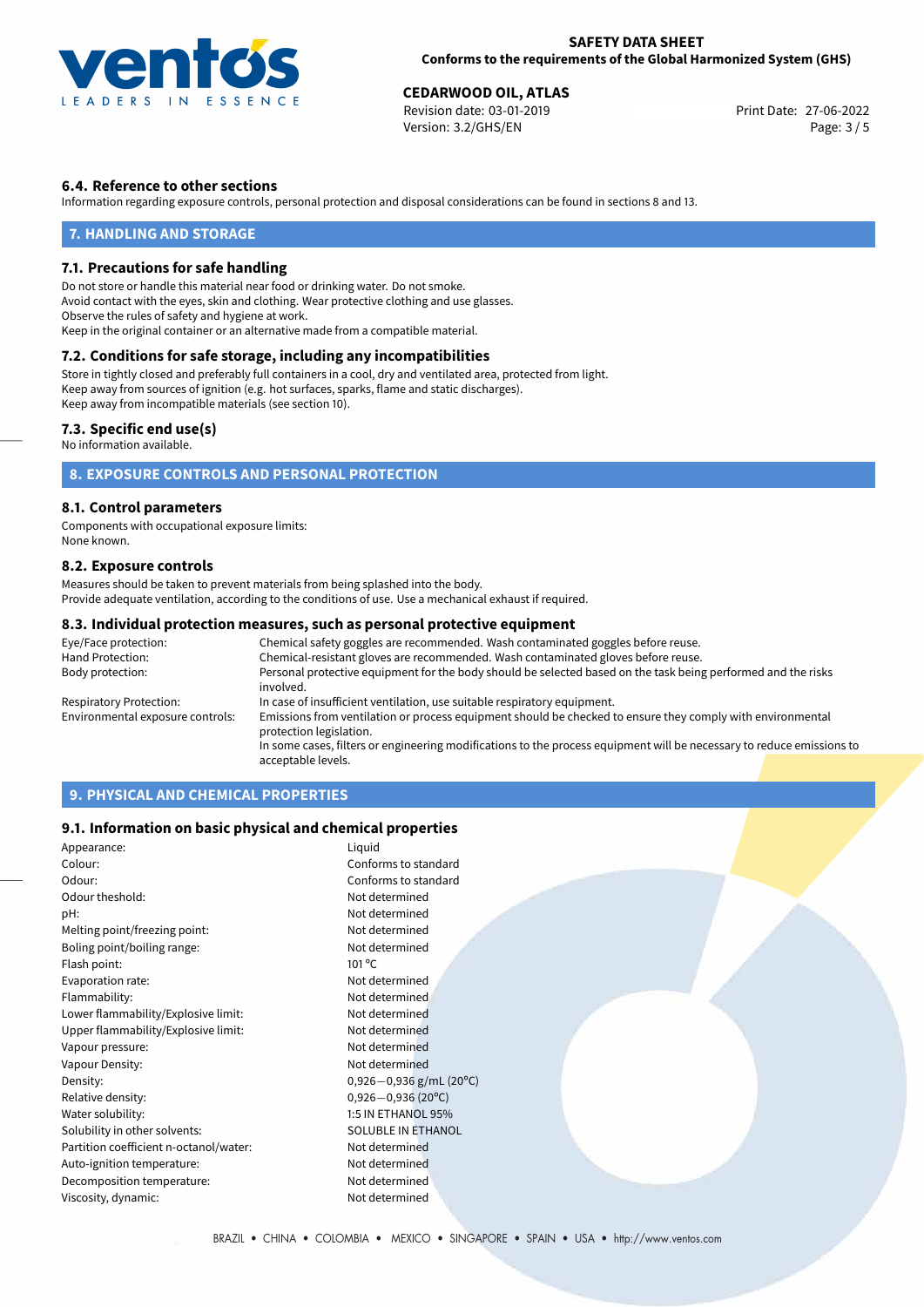

Revision date: 03-01-2019 Version: 3.2/GHS/EN Page: 3 / 5

## **6.4. Reference to other sections**

Information regarding exposure controls, personal protection and disposal considerations can be found in sections 8 and 13.

#### **7. HANDLING AND STORAGE**

#### **7.1. Precautions for safe handling**

Do not store or handle this material near food or drinking water. Do not smoke. Avoid contact with the eyes, skin and clothing. Wear protective clothing and use glasses. Observe the rules of safety and hygiene at work. Keep in the original container or an alternative made from a compatible material.

## **7.2. Conditions for safe storage, including any incompatibilities**

Store in tightly closed and preferably full containers in a cool, dry and ventilated area, protected from light. Keep away from sources of ignition (e.g. hot surfaces, sparks, flame and static discharges). Keep away from incompatible materials (see section 10).

#### **7.3. Specific end use(s)**

No information available.

## **8. EXPOSURE CONTROLS AND PERSONAL PROTECTION**

#### **8.1. Control parameters**

Components with occupational exposure limits: None known.

#### **8.2. Exposure controls**

Measures should be taken to prevent materials from being splashed into the body. Provide adequate ventilation, according to the conditions of use. Use a mechanical exhaust if required.

#### **8.3. Individual protection measures, such as personal protective equipment**

| Eye/Face protection:             | Chemical safety goggles are recommended. Wash contaminated goggles before reuse.                                                      |  |  |
|----------------------------------|---------------------------------------------------------------------------------------------------------------------------------------|--|--|
| Hand Protection:                 | Chemical-resistant gloves are recommended. Wash contaminated gloves before reuse.                                                     |  |  |
| Body protection:                 | Personal protective equipment for the body should be selected based on the task being performed and the risks<br>involved.            |  |  |
| Respiratory Protection:          | In case of insufficient ventilation, use suitable respiratory equipment.                                                              |  |  |
| Environmental exposure controls: | Emissions from ventilation or process equipment should be checked to ensure they comply with environmental<br>protection legislation. |  |  |
|                                  | In some cases, filters or engineering modifications to the process equipment will be necessary to reduce emissions to                 |  |  |
|                                  | acceptable levels.                                                                                                                    |  |  |

## **9. PHYSICAL AND CHEMICAL PROPERTIES**

#### **9.1. Information on basic physical and chemical properties**

| Appearance:                            | Liquid                      |
|----------------------------------------|-----------------------------|
| Colour:                                | Conforms to standard        |
| Odour:                                 | Conforms to standard        |
| Odour theshold:                        | Not determined              |
| pH:                                    | Not determined              |
| Melting point/freezing point:          | Not determined              |
| Boling point/boiling range:            | Not determined              |
| Flash point:                           | $101^{\circ}$ C             |
| Evaporation rate:                      | Not determined              |
| Flammability:                          | Not determined              |
| Lower flammability/Explosive limit:    | Not determined              |
| Upper flammability/Explosive limit:    | Not determined              |
| Vapour pressure:                       | Not determined              |
| Vapour Density:                        | Not determined              |
| Density:                               | $0,926 - 0,936$ g/mL (20°C) |
| Relative density:                      | $0,926 - 0,936$ (20°C)      |
| Water solubility:                      | 1:5 IN ETHANOL 95%          |
| Solubility in other solvents:          | SOLUBLE IN ETHANOL          |
| Partition coefficient n-octanol/water: | Not determined              |
| Auto-ignition temperature:             | Not determined              |
| Decomposition temperature:             | Not determined              |
| Viscosity, dynamic:                    | Not determined              |
|                                        |                             |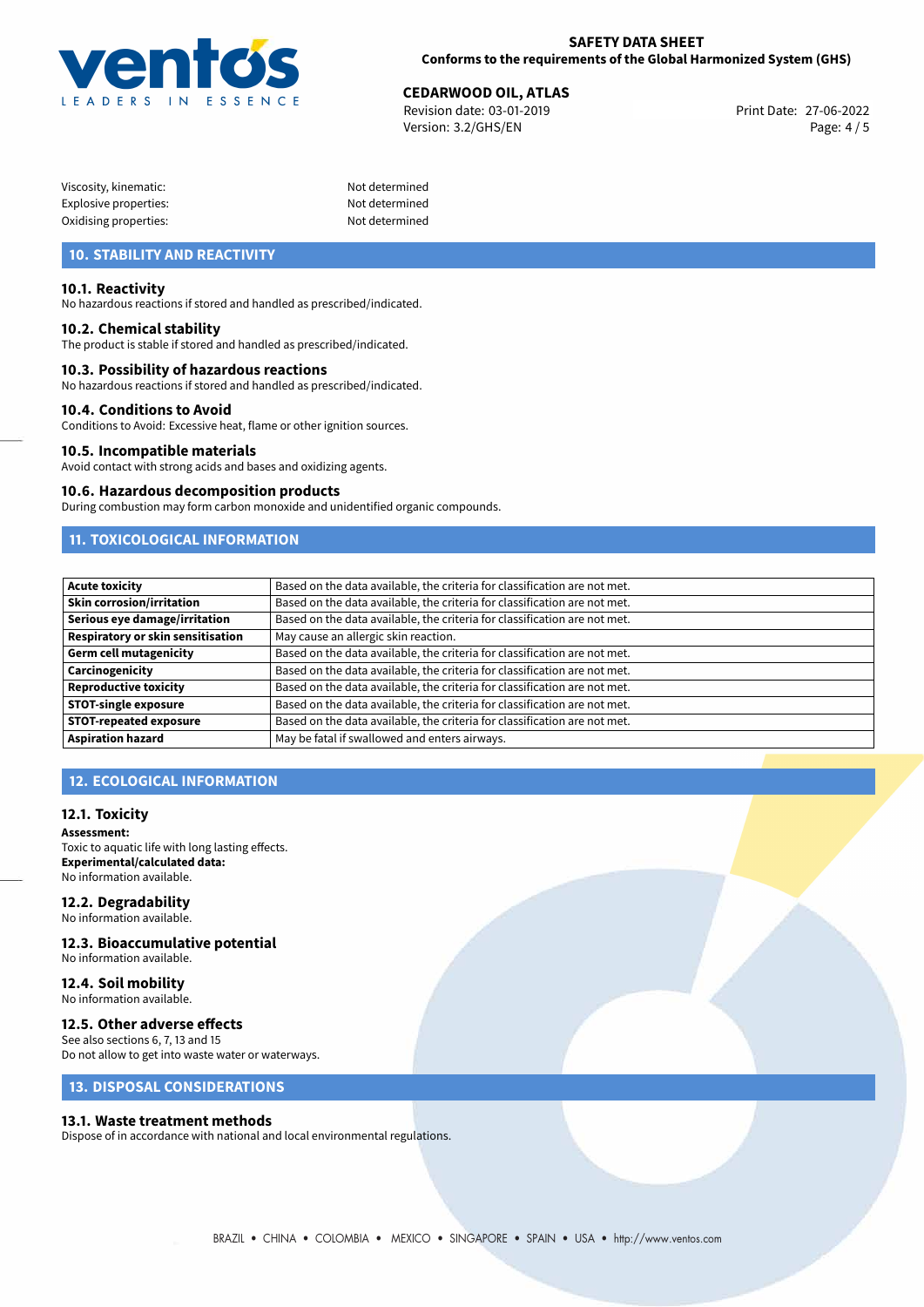

Revision date: 03-01-2019 Version: 3.2/GHS/EN Page: 4 / 5

| Viscosity, kinematic: |  |
|-----------------------|--|
| Explosive properties: |  |
| Oxidising properties: |  |

Not determined Not determined Not determined

## **10. STABILITY AND REACTIVITY**

#### **10.1. Reactivity**

No hazardous reactions if stored and handled as prescribed/indicated.

### **10.2. Chemical stability**

The product is stable if stored and handled as prescribed/indicated.

#### **10.3. Possibility of hazardous reactions**

No hazardous reactions if stored and handled as prescribed/indicated.

#### **10.4. Conditions to Avoid**

Conditions to Avoid: Excessive heat, flame or other ignition sources.

#### **10.5. Incompatible materials**

Avoid contact with strong acids and bases and oxidizing agents.

#### **10.6. Hazardous decomposition products**

During combustion may form carbon monoxide and unidentified organic compounds.

## **11. TOXICOLOGICAL INFORMATION**

| <b>Acute toxicity</b>             | Based on the data available, the criteria for classification are not met. |
|-----------------------------------|---------------------------------------------------------------------------|
| Skin corrosion/irritation         | Based on the data available, the criteria for classification are not met. |
| Serious eye damage/irritation     | Based on the data available, the criteria for classification are not met. |
| Respiratory or skin sensitisation | May cause an allergic skin reaction.                                      |
| Germ cell mutagenicity            | Based on the data available, the criteria for classification are not met. |
| Carcinogenicity                   | Based on the data available, the criteria for classification are not met. |
| <b>Reproductive toxicity</b>      | Based on the data available, the criteria for classification are not met. |
| <b>STOT-single exposure</b>       | Based on the data available, the criteria for classification are not met. |
| <b>STOT-repeated exposure</b>     | Based on the data available, the criteria for classification are not met. |
| <b>Aspiration hazard</b>          | May be fatal if swallowed and enters airways.                             |

## **12. ECOLOGICAL INFORMATION**

#### **12.1. Toxicity**

**Assessment:** Toxic to aquatic life with long lasting effects. **Experimental/calculated data:** No information available.

#### **12.2. Degradability**

No information available.

#### **12.3. Bioaccumulative potential**

No information available.

#### **12.4. Soil mobility** No information available.

#### **12.5. Other adverse effects**

See also sections 6, 7, 13 and 15 Do not allow to get into waste water or waterways.

## **13. DISPOSAL CONSIDERATIONS**

#### **13.1. Waste treatment methods**

Dispose of in accordance with national and local environmental regulations.